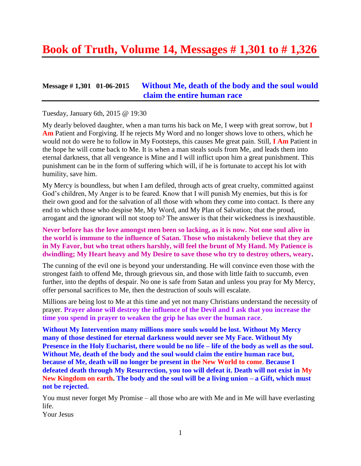# **Book of Truth, Volume 14, Messages # 1,301 to # 1,326**

### **Message # 1,301 01-06-2015 [Without Me, death of the body and the soul would](http://www.thewarningsecondcoming.com/without-me-death-of-the-body-and-the-soul-would-claim-the-entire-human-race/)  [claim the entire human race](http://www.thewarningsecondcoming.com/without-me-death-of-the-body-and-the-soul-would-claim-the-entire-human-race/)**

#### Tuesday, January 6th, 2015 @ 19:30

My dearly beloved daughter, when a man turns his back on Me, I weep with great sorrow, but **I Am** Patient and Forgiving. If he rejects My Word and no longer shows love to others, which he would not do were he to follow in My Footsteps, this causes Me great pain. Still, **I Am** Patient in the hope he will come back to Me. It is when a man steals souls from Me, and leads them into eternal darkness, that all vengeance is Mine and I will inflict upon him a great punishment. This punishment can be in the form of suffering which will, if he is fortunate to accept his lot with humility, save him.

My Mercy is boundless, but when I am defiled, through acts of great cruelty, committed against God's children, My Anger is to be feared. Know that I will punish My enemies, but this is for their own good and for the salvation of all those with whom they come into contact. Is there any end to which those who despise Me, My Word, and My Plan of Salvation; that the proud, arrogant and the ignorant will not stoop to? The answer is that their wickedness is inexhaustible.

#### **Never before has the love amongst men been so lacking, as it is now. Not one soul alive in the world is immune to the influence of Satan. Those who mistakenly believe that they are in My Favor, but who treat others harshly, will feel the brunt of My Hand. My Patience is dwindling; My Heart heavy and My Desire to save those who try to destroy others, weary.**

The cunning of the evil one is beyond your understanding. He will convince even those with the strongest faith to offend Me, through grievous sin, and those with little faith to succumb, even further, into the depths of despair. No one is safe from Satan and unless you pray for My Mercy, offer personal sacrifices to Me, then the destruction of souls will escalate.

Millions are being lost to Me at this time and yet not many Christians understand the necessity of prayer. **Prayer alone will destroy the influence of the Devil and I ask that you increase the time you spend in prayer to weaken the grip he has over the human race**.

**Without My Intervention many millions more souls would be lost. Without My Mercy many of those destined for eternal darkness would never see My Face. Without My Presence in the Holy Eucharist, there would be no life – life of the body as well as the soul. Without Me, death of the body and the soul would claim the entire human race but, because of Me, death will no longer be present in the New World to come**. **Because I defeated death through My Resurrection, you too will defeat it. Death will not exist in My New Kingdom on earth. The body and the soul will be a living union – a Gift, which must not be rejected.**

You must never forget My Promise – all those who are with Me and in Me will have everlasting life.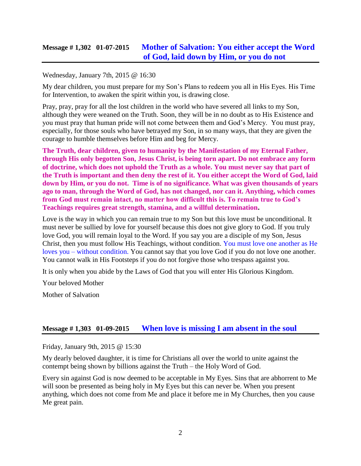### **Message # 1,302 01-07-2015 [Mother of Salvation: You either accept the Word](http://www.thewarningsecondcoming.com/mother-of-salvation-you-either-accept-the-word-of-god-laid-down-by-him-or-you-do-not/)  [of God, laid down by Him, or you do not](http://www.thewarningsecondcoming.com/mother-of-salvation-you-either-accept-the-word-of-god-laid-down-by-him-or-you-do-not/)**

#### Wednesday, January 7th, 2015 @ 16:30

My dear children, you must prepare for my Son's Plans to redeem you all in His Eyes. His Time for Intervention, to awaken the spirit within you, is drawing close.

Pray, pray, pray for all the lost children in the world who have severed all links to my Son, although they were weaned on the Truth. Soon, they will be in no doubt as to His Existence and you must pray that human pride will not come between them and God's Mercy. You must pray, especially, for those souls who have betrayed my Son, in so many ways, that they are given the courage to humble themselves before Him and beg for Mercy.

**The Truth, dear children, given to humanity by the Manifestation of my Eternal Father, through His only begotten Son, Jesus Christ, is being torn apart. Do not embrace any form of doctrine, which does not uphold the Truth as a whole. You must never say that part of the Truth is important and then deny the rest of it. You either accept the Word of God, laid down by Him, or you do not. Time is of no significance. What was given thousands of years ago to man, through the Word of God, has not changed, nor can it. Anything, which comes from God must remain intact, no matter how difficult this is. To remain true to God's Teachings requires great strength, stamina, and a willful determination.**

Love is the way in which you can remain true to my Son but this love must be unconditional. It must never be sullied by love for yourself because this does not give glory to God. If you truly love God, you will remain loyal to the Word. If you say you are a disciple of my Son, Jesus Christ, then you must follow His Teachings, without condition. You must love one another as He loves you – without condition. You cannot say that you love God if you do not love one another. You cannot walk in His Footsteps if you do not forgive those who trespass against you.

It is only when you abide by the Laws of God that you will enter His Glorious Kingdom.

Your beloved Mother

Mother of Salvation

#### **Message # 1,303 01-09-2015 [When love is missing I am absent in the soul](http://www.thewarningsecondcoming.com/when-love-is-missing-i-am-absent-in-the-soul/)**

Friday, January 9th, 2015 @ 15:30

My dearly beloved daughter, it is time for Christians all over the world to unite against the contempt being shown by billions against the Truth – the Holy Word of God.

Every sin against God is now deemed to be acceptable in My Eyes. Sins that are abhorrent to Me will soon be presented as being holy in My Eyes but this can never be. When you present anything, which does not come from Me and place it before me in My Churches, then you cause Me great pain.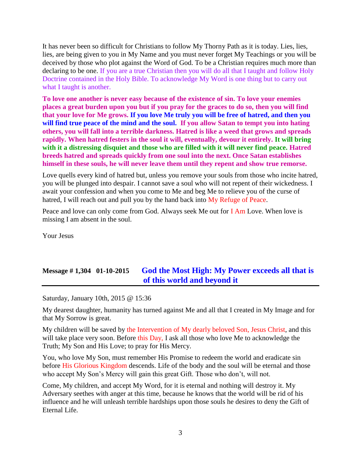It has never been so difficult for Christians to follow My Thorny Path as it is today. Lies, lies, lies, are being given to you in My Name and you must never forget My Teachings or you will be deceived by those who plot against the Word of God. To be a Christian requires much more than declaring to be one. If you are a true Christian then you will do all that I taught and follow Holy Doctrine contained in the Holy Bible. To acknowledge My Word is one thing but to carry out what I taught is another.

**To love one another is never easy because of the existence of sin. To love your enemies places a great burden upon you but if you pray for the graces to do so, then you will find that your love for Me grows. If you love Me truly you will be free of hatred, and then you will find true peace of the mind and the soul. If you allow Satan to tempt you into hating others, you will fall into a terrible darkness. Hatred is like a weed that grows and spreads rapidly. When hatred festers in the soul it will, eventually, devour it entirely. It will bring with it a distressing disquiet and those who are filled with it will never find peace. Hatred breeds hatred and spreads quickly from one soul into the next. Once Satan establishes himself in these souls, he will never leave them until they repent and show true remorse.**

Love quells every kind of hatred but, unless you remove your souls from those who incite hatred, you will be plunged into despair. I cannot save a soul who will not repent of their wickedness. I await your confession and when you come to Me and beg Me to relieve you of the curse of hatred, I will reach out and pull you by the hand back into My Refuge of Peace.

Peace and love can only come from God. Always seek Me out for I Am Love. When love is missing I am absent in the soul.

Your Jesus

# **Message # 1,304 01-10-2015 [God the Most High: My Power exceeds all that is](http://www.thewarningsecondcoming.com/god-the-most-high-my-power-exceeds-all-that-is-of-this-world-and-beyond-it/)  [of this world and beyond it](http://www.thewarningsecondcoming.com/god-the-most-high-my-power-exceeds-all-that-is-of-this-world-and-beyond-it/)**

Saturday, January 10th, 2015 @ 15:36

My dearest daughter, humanity has turned against Me and all that I created in My Image and for that My Sorrow is great.

My children will be saved by the Intervention of My dearly beloved Son, Jesus Christ, and this will take place very soon. Before this Day, I ask all those who love Me to acknowledge the Truth; My Son and His Love; to pray for His Mercy.

You, who love My Son, must remember His Promise to redeem the world and eradicate sin before His Glorious Kingdom descends. Life of the body and the soul will be eternal and those who accept My Son's Mercy will gain this great Gift. Those who don't, will not.

Come, My children, and accept My Word, for it is eternal and nothing will destroy it. My Adversary seethes with anger at this time, because he knows that the world will be rid of his influence and he will unleash terrible hardships upon those souls he desires to deny the Gift of Eternal Life.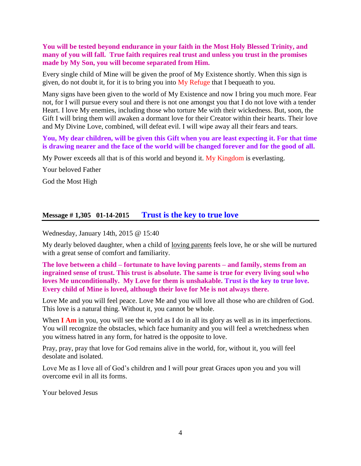**You will be tested beyond endurance in your faith in the Most Holy Blessed Trinity, and many of you will fall. True faith requires real trust and unless you trust in the promises made by My Son, you will become separated from Him.**

Every single child of Mine will be given the proof of My Existence shortly. When this sign is given, do not doubt it, for it is to bring you into  $My$  Refuge that I bequeath to you.

Many signs have been given to the world of My Existence and now I bring you much more. Fear not, for I will pursue every soul and there is not one amongst you that I do not love with a tender Heart. I love My enemies, including those who torture Me with their wickedness. But, soon, the Gift I will bring them will awaken a dormant love for their Creator within their hearts. Their love and My Divine Love, combined, will defeat evil. I will wipe away all their fears and tears.

**You, My dear children, will be given this Gift when you are least expecting it. For that time is drawing nearer and the face of the world will be changed forever and for the good of all.**

My Power exceeds all that is of this world and beyond it. My Kingdom is everlasting.

Your beloved Father

God the Most High

#### **Message # 1,305 01-14-2015 [Trust is the key to true love](http://www.thewarningsecondcoming.com/trust-is-the-key-to-true-love/)**

#### Wednesday, January 14th, 2015 @ 15:40

My dearly beloved daughter, when a child of [loving parents](http://www.thewarningsecondcoming.com/trust-is-the-key-to-true-love/) feels love, he or she will be nurtured with a great sense of comfort and [familiarity.](http://www.thewarningsecondcoming.com/trust-is-the-key-to-true-love/)

#### **The love between a child – fortunate to have loving parents – and family, stems from an ingrained sense of trust. This trust is absolute. The same is true for every [living soul](http://www.thewarningsecondcoming.com/trust-is-the-key-to-true-love/) who loves Me unconditionally. My Love for them is unshakable. Trust is the key to true love. Every child of Mine is loved, although their love for Me is not always there.**

Love Me and you will feel peace. Love Me and you will love all those who are children of God. This love is a natural thing. Without it, you cannot be whole.

When **I Am** in you, you will see the world as I do in all its glory as well as in its imperfections. You will recognize the obstacles, which face humanity and you will feel a wretchedness when you witness hatred in any form, for hatred is the opposite to love.

[Pray,](http://www.thewarningsecondcoming.com/trust-is-the-key-to-true-love/) pray, pray that love for God remains alive in the world, for, without it, you will feel desolate and isolated.

Love Me as I love all of God's children and I will pour great Graces upon you and you will overcome evil in all its forms.

Your beloved Jesus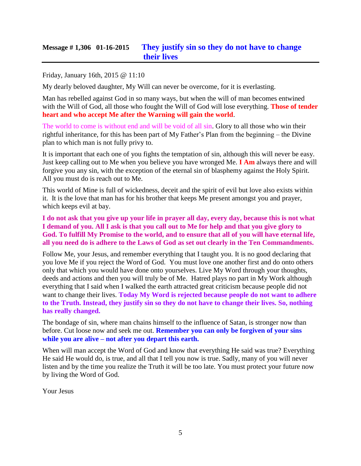### **Message # 1,306 01-16-2015 [They justify sin so they do not have to change](http://www.thewarningsecondcoming.com/they-justify-sin-so-they-do-not-have-to-change-their-lives/)  [their lives](http://www.thewarningsecondcoming.com/they-justify-sin-so-they-do-not-have-to-change-their-lives/)**

#### Friday, January 16th, 2015 @ 11:10

My dearly beloved daughter, My Will can never be overcome, for it is everlasting.

Man has rebelled against God in so many ways, but when the will of man becomes entwined with the Will of God, all those who fought the Will of God will lose everything. **Those of tender heart and who accept Me after the Warning will gain the world**.

The world to come is without end and will be void of all sin. Glory to all those who win their rightful inheritance, for this has been part of My Father's Plan from the beginning – the Divine plan to which man is not fully [privy](http://www.thewarningsecondcoming.com/they-justify-sin-so-they-do-not-have-to-change-their-lives/) to.

It is important that each one of you fights the temptation of sin, although this will never be easy. Just keep calling out to Me when you believe you have wronged Me. **I Am** always there and will forgive you any sin, with the exception of the eternal sin of blasphemy against the Holy Spirit. All you must do is reach out to Me.

This world of Mine is full of wickedness, deceit and the spirit of evil but love also exists within it. It is the love that man has for his brother that keeps Me present amongst you and [prayer,](http://www.thewarningsecondcoming.com/they-justify-sin-so-they-do-not-have-to-change-their-lives/) which keeps evil at bay.

**I do not ask that you give up your life in prayer all day, every day, because this is not what I [demand](http://www.thewarningsecondcoming.com/they-justify-sin-so-they-do-not-have-to-change-their-lives/) of you. All I ask is that you call out to Me for help and that you give glory to God. To fulfill My Promise to the world, and to ensure that all of you will have eternal life, all you need do is adhere to the Laws of God as set out clearly in [the Ten Commandments.](http://www.thewarningsecondcoming.com/they-justify-sin-so-they-do-not-have-to-change-their-lives/)**

Follow Me, your Jesus, and remember everything that I taught you. It is no good declaring that you love Me if you reject the Word of God. You must love one another first and do onto others only that which you would have done onto yourselves. Live My Word through your thoughts, [deeds](http://www.thewarningsecondcoming.com/they-justify-sin-so-they-do-not-have-to-change-their-lives/) and actions and then you will truly be of Me. Hatred plays no part in My Work although everything that I said when I walked the earth attracted great criticism because people did not want to change their lives. **Today My Word is rejected because people do not want to adhere to the Truth. Instead, they justify sin so they do not have to change their lives. So, nothing has really changed.**

The bondage of sin, where man chains himself to the influence of Satan, is stronger now than before. Cut loose now and seek me out. **Remember you can only be forgiven of your sins while you are alive – not after you depart this earth.**

When will man accept the Word of God and know that everything He said was true? Everything He said He would do, is true, and all that I tell you now is true. Sadly, many of you will never listen and by the time you realize the Truth it will be too late. You must protect your future now by living the Word of God.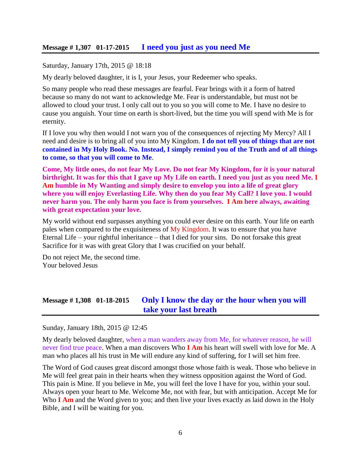#### **Message # 1,307 01-17-2015 [I need you just as you need Me](http://www.thewarningsecondcoming.com/i-need-you-just-as-you-need-me/)**

Saturday, January 17th, 2015 @ 18:18

My dearly beloved daughter, it is I, your Jesus, your [Redeemer](http://www.thewarningsecondcoming.com/i-need-you-just-as-you-need-me/) who speaks.

So many people who read these messages are fearful. Fear brings with it a form of hatred because so many do not want to acknowledge Me. Fear is [understandable,](http://www.thewarningsecondcoming.com/i-need-you-just-as-you-need-me/) but must not be allowed to cloud your trust. I only call out to you so you will come to Me. I have no desire to cause you anguish. Your time on earth is short-lived, but the time you will spend with Me is for eternity.

If I love you why then would I not warn you of the consequences of rejecting My Mercy? All I need and desire is to bring all of you into My Kingdom. **I do not tell you of things that are not contained in My Holy [Book.](http://www.thewarningsecondcoming.com/i-need-you-just-as-you-need-me/) No. Instead, I simply remind you of the Truth and of all things to come, so that you will come to Me**.

**Come, My little ones, do not fear My Love. Do not fear My Kingdom, for it is your natural birthright. It was for this that I gave up My Life on earth. I need you just as you need Me. I Am humble in My Wanting and simply desire to envelop you into a life of great glory where you will enjoy [Everlasting Life.](http://www.thewarningsecondcoming.com/i-need-you-just-as-you-need-me/) Why then do you fear My Call? I love you. I would never harm you. The only harm you face is from yourselves. I Am here always, awaiting with [great expectation](http://www.thewarningsecondcoming.com/i-need-you-just-as-you-need-me/) your love.**

My world without end surpasses anything you could ever desire on this earth. Your life on earth [pales](http://www.thewarningsecondcoming.com/i-need-you-just-as-you-need-me/) when compared to the exquisiteness of My Kingdom. It was to ensure that you have Eternal Life – your rightful inheritance – that I died for your sins. Do not forsake this great Sacrifice for it was with great Glory that I was crucified on your behalf.

Do not reject Me, the second time. Your beloved Jesus

### **Message # 1,308 01-18-2015 [Only I know the day or the hour when you will](http://www.thewarningsecondcoming.com/only-i-know-the-day-or-the-hour-when-you-will-take-your-last-breath-2/)  [take your last breath](http://www.thewarningsecondcoming.com/only-i-know-the-day-or-the-hour-when-you-will-take-your-last-breath-2/)**

Sunday, January 18th, 2015 @ 12:45

My dearly beloved daughter, when a man wanders away from Me, for whatever reason, he will never find true peace. When a man discovers Who **I Am** his heart will swell with love for Me. A man who places all his trust in Me will endure any kind of suffering, for I will set him free.

The [Word of God](http://www.thewarningsecondcoming.com/only-i-know-the-day-or-the-hour-when-you-will-take-your-last-breath-2/) causes great discord amongst those whose faith is weak. Those who believe in Me will feel great pain in their hearts when they witness opposition against the Word of God. This pain is Mine. If you believe in Me, you will feel the love I have for you, within your soul. Always open your heart to Me. Welcome Me, not with fear, but with anticipation. Accept Me for Who **I Am** and the Word given to you; and then live your lives exactly as laid down in the [Holy](http://www.thewarningsecondcoming.com/only-i-know-the-day-or-the-hour-when-you-will-take-your-last-breath-2/) [Bible,](http://www.thewarningsecondcoming.com/only-i-know-the-day-or-the-hour-when-you-will-take-your-last-breath-2/) and I will be waiting for you.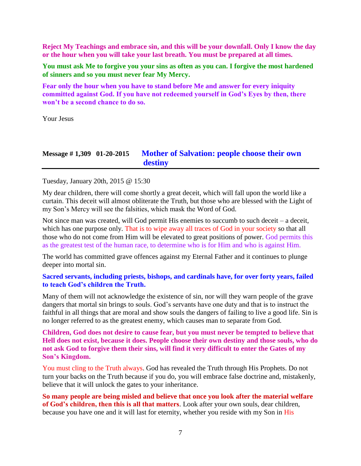**Reject My Teachings and embrace sin, and this will be your downfall. Only I know the day or the hour when you will take your last breath. You must be prepared at all times.** 

**You must ask Me to forgive you your sins as often as you can. I forgive the most hardened of [sinners](http://www.thewarningsecondcoming.com/only-i-know-the-day-or-the-hour-when-you-will-take-your-last-breath-2/) and so you must never fear My Mercy.** 

**Fear only the hour when you have to stand before Me and answer for every [iniquity](http://www.thewarningsecondcoming.com/only-i-know-the-day-or-the-hour-when-you-will-take-your-last-breath-2/) committed against God. If you have not redeemed yourself in God's Eyes by then, there won't be a second chance to do so.**

Your Jesus

### **Message # 1,309 01-20-2015 [Mother of Salvation: people choose their own](http://www.thewarningsecondcoming.com/mother-of-salvation-people-choose-their-own-destiny/)  [destiny](http://www.thewarningsecondcoming.com/mother-of-salvation-people-choose-their-own-destiny/)**

Tuesday, January 20th, 2015 @ 15:30

My dear children, there will come shortly a great deceit, which will fall upon the world like a curtain. This deceit will almost obliterate the Truth, but those who are blessed with the Light of my Son's Mercy will see the falsities, which mask the [Word of God.](http://www.thewarningsecondcoming.com/mother-of-salvation-people-choose-their-own-destiny/)

Not since man was created, will God permit His enemies to succumb to such deceit – a deceit, which has one [purpose](http://www.thewarningsecondcoming.com/mother-of-salvation-people-choose-their-own-destiny/) only. That is to wipe away all traces of God in your society so that all those who do not come from Him will be elevated to great positions of power. God permits this as the greatest test of the human race, to determine who is for Him and who is against Him.

The world has committed grave offences against my Eternal Father and it continues to plunge deeper into mortal sin.

#### **Sacred [servants,](http://www.thewarningsecondcoming.com/mother-of-salvation-people-choose-their-own-destiny/) including priests, bishops, and cardinals have, for over forty years, failed to teach God's children the Truth.**

Many of them will not acknowledge the existence of sin, nor will they warn people of the grave dangers that mortal sin brings to souls. God's servants have one duty and that is to instruct the faithful in all things that are moral and show souls the dangers of failing to live a good life. Sin is no longer referred to as the greatest enemy, which causes man to separate from God.

**Children, God does not desire to cause fear, but you must never be tempted to believe that Hell does not exist, because it does. [People choose](http://www.thewarningsecondcoming.com/mother-of-salvation-people-choose-their-own-destiny/) their own destiny and those souls, who do not ask God to forgive them their sins, will find it very difficult to enter the Gates of my Son's Kingdom.**

You must cling to the Truth always. God has revealed the Truth through His Prophets. Do not turn your backs on the Truth because if you do, you will embrace false doctrine and, mistakenly, believe that it will [unlock](http://www.thewarningsecondcoming.com/mother-of-salvation-people-choose-their-own-destiny/) the gates to your inheritance.

**So many people are being misled and believe that once you look after the material welfare of God's children, then this is all that matters**. Look after your own souls, dear children, because you have one and it will last for eternity, whether you reside with my Son in His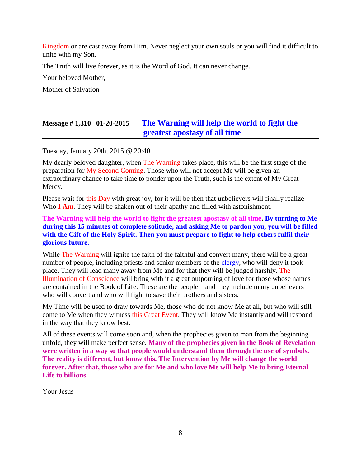Kingdom or are cast away from Him. Never neglect your own souls or you will find it difficult to unite with my Son.

The Truth will live forever, as it is the Word of God. It can never change.

Your beloved Mother,

Mother of Salvation

# **Message # 1,310 01-20-2015 [The Warning will help the world to fight the](http://www.thewarningsecondcoming.com/the-warning-will-help-the-world-to-fight-the-greatest-apostasy-of-all-time/)  [greatest apostasy of all time](http://www.thewarningsecondcoming.com/the-warning-will-help-the-world-to-fight-the-greatest-apostasy-of-all-time/)**

Tuesday, January 20th, 2015 @ 20:40

My dearly [beloved daughter,](http://www.thewarningsecondcoming.com/the-warning-will-help-the-world-to-fight-the-greatest-apostasy-of-all-time/) when The Warning takes place, this will be the first stage of the preparation for My Second Coming. Those who will not accept Me will be given an extraordinary chance to take time to ponder upon the Truth, such is the extent of My Great Mercy.

Please wait for this Day with great joy, for it will be then that unbelievers will finally realize Who **I Am**. They will be shaken out of their apathy and filled with astonishment.

#### **The Warning will help the world to fight the greatest apostasy of all time. By turning to Me during this 15 minutes of complete solitude, and asking Me to pardon you, you will be filled with the Gift of the Holy Spirit. Then you must prepare to fight to help others fulfil their glorious future.**

While The Warning will ignite the faith of the faithful and convert many, there will be a great number of people, including priests and senior members of the [clergy,](http://www.enddays.net/) who will deny it took place. They will lead many away from Me and for that they will be judged harshly. The Illumination of Conscience will bring with it a great outpouring of love for those whose names are contained in the Book of Life. These are the people – and they include many unbelievers – who will convert and who will fight to save their brothers and sisters.

My Time will be used to draw towards Me, those who do not know Me at all, but who will still come to Me when they witness this Great Event. They will know Me instantly and will respond in the way that they know best.

All of these events will come soon and, when the [prophecies](http://www.thewarningsecondcoming.com/the-warning-will-help-the-world-to-fight-the-greatest-apostasy-of-all-time/) given to man from the beginning unfold, they will make perfect sense. **Many of the prophecies given in the Book of [Revelation](http://www.thewarningsecondcoming.com/the-warning-will-help-the-world-to-fight-the-greatest-apostasy-of-all-time/) were written in a way so that people would understand them through the use of symbols. The reality is different, but know this. The Intervention by Me will change the world forever. After that, those who are for Me and who love Me will help Me to bring Eternal Life to billions.**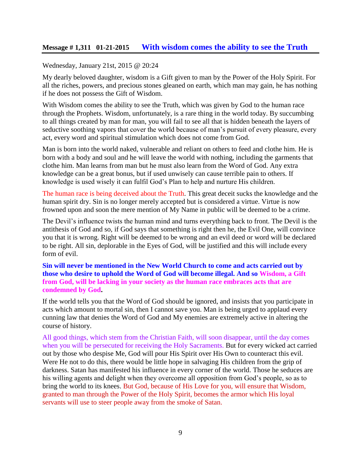#### Wednesday, January 21st, 2015 @ 20:24

My dearly [beloved daughter,](http://www.thewarningsecondcoming.com/with-wisdom-comes-the-ability-to-see-the-truth/) wisdom is a Gift given to man by the Power of the Holy Spirit. For all the riches, powers, and precious stones gleaned on earth, which man may gain, he has nothing if he does not possess the Gift of Wisdom.

With Wisdom comes the ability to see the Truth, which was given by God to the human race through the [Prophets.](http://www.thewarningsecondcoming.com/with-wisdom-comes-the-ability-to-see-the-truth/) Wisdom, unfortunately, is a rare thing in the world today. By succumbing to all things created by man for man, you will fail to see all that is hidden beneath the layers of seductive soothing [vapors](http://www.thewarningsecondcoming.com/with-wisdom-comes-the-ability-to-see-the-truth/) that cover the world because of man's pursuit of every pleasure, every act, every word and spiritual stimulation which does not come from God.

Man is born into the world naked, vulnerable and reliant on others to feed and clothe him. He is born with a body and soul and he will leave the world with nothing, including the garments that clothe him. Man learns from man but he must also learn from the Word of God. Any extra knowledge can be a great bonus, but if used unwisely can cause terrible pain to others. If knowledge is used wisely it can fulfil God's Plan to help and nurture His children.

The human race is being deceived about the Truth. This great deceit sucks the knowledge and the human spirit dry. Sin is no longer merely accepted but is considered a virtue. Virtue is now frowned upon and soon the mere mention of My Name in public will be deemed to be a crime.

The Devil's influence twists the human mind and turns everything back to front. The Devil is the antithesis of God and so, if God says that something is right then he, the Evil One, will convince you that it is wrong. Right will be deemed to be wrong and an evil deed or word will be declared to be right. All sin, deplorable in the Eyes of God, will be justified and this will include every form of evil.

#### **Sin will never be mentioned in the New World Church to come and acts carried out by those who desire to uphold the Word of God will become illegal. And so Wisdom, a Gift from God, will be lacking in your society as the human race embraces acts that are condemned by God.**

If the world tells you that the Word of God should be ignored, and insists that you participate in acts which amount to mortal sin, then I cannot save you. Man is being urged to applaud every cunning law that denies the Word of God and My enemies are [extremely active](http://www.thewarningsecondcoming.com/with-wisdom-comes-the-ability-to-see-the-truth/) in altering the course of history.

All good things, which stem from the Christian Faith, will soon disappear, until the day comes when you will be [persecuted](http://www.thewarningsecondcoming.com/with-wisdom-comes-the-ability-to-see-the-truth/) for receiving the Holy [Sacraments.](http://www.thewarningsecondcoming.com/with-wisdom-comes-the-ability-to-see-the-truth/) But for every wicked act carried out by those who despise Me, God will pour His Spirit over His Own to counteract this evil. Were He not to do this, there would be little hope in salvaging His children from the grip of darkness. Satan has manifested his influence in every corner of the world. Those he seduces are his willing agents and delight when they overcome all opposition from God's people, so as to bring the world to its knees. But God, because of His Love for you, will ensure that Wisdom, granted to man through the Power of the Holy Spirit, becomes the armor which His loyal servants will use to steer people away from the smoke of Satan.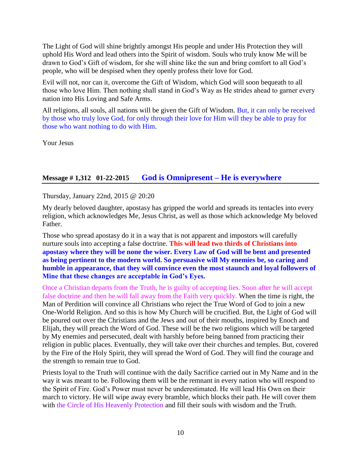The Light of God will shine brightly amongst His people and under His Protection they will uphold His Word and lead others into the Spirit of wisdom. Souls who truly know Me will be drawn to God's Gift of wisdom, for she will shine like the sun and bring comfort to all God's people, who will be despised when they openly profess their love for God.

Evil will not, nor can it, overcome the Gift of Wisdom, which God will soon bequeath to all those who love Him. Then nothing shall stand in God's Way as He strides ahead to garner every nation into His Loving and Safe Arms.

All religions, all souls, all nations will be given the Gift of Wisdom. But, it can only be received by those who truly love God, for only through their love for Him will they be able to pray for those who want nothing to do with Him.

Your Jesus

### **Message # 1,312 01-22-2015 [God is Omnipresent –](http://www.thewarningsecondcoming.com/god-is-omnipresent-he-is-everywhere/) He is everywhere**

Thursday, January 22nd, 2015 @ 20:20

My dearly [beloved daughter,](http://www.thewarningsecondcoming.com/god-is-omnipresent-he-is-everywhere/) apostasy has gripped the world and spreads its tentacles into every religion, which acknowledges Me, Jesus Christ, as well as those which acknowledge My beloved Father.

Those who spread apostasy do it in a way that is not apparent and impostors will carefully nurture souls into accepting a false [doctrine.](http://www.thewarningsecondcoming.com/god-is-omnipresent-he-is-everywhere/) **This will lead two thirds of Christians into apostasy where they will be none the wiser. Every Law of God will be bent and presented as being pertinent to the modern world. So persuasive will My enemies be, so caring and humble in appearance, that they will convince even the most staunch and loyal followers of Mine that these changes are acceptable in God's Eyes.**

Once a Christian departs from the Truth, he is guilty of accepting lies. Soon after he will accept false doctrine and then he will fall away from the Faith very quickly. When the time is right, the Man of Perdition will convince all Christians who reject the True Word of God to join a new One-World Religion. And so this is how My Church will be crucified. But, the Light of God will be poured out over the Christians and the Jews and out of their mouths, inspired by Enoch and Elijah, they will preach the Word of God. These will be the two religions which will be targeted by My enemies and [persecuted,](http://www.thewarningsecondcoming.com/god-is-omnipresent-he-is-everywhere/) dealt with harshly before being [banned](http://www.thewarningsecondcoming.com/god-is-omnipresent-he-is-everywhere/) from practicing their religion in public places. Eventually, they will take over their churches and temples. But, covered by the Fire of the Holy Spirit, they will spread the Word of God. They will find the courage and the strength to remain true to God.

Priests loyal to the Truth will continue with the daily Sacrifice carried out in My Name and in the way it was meant to be. Following them will be the remnant in every nation who will respond to the Spirit of Fire. God's Power must never be underestimated. He will lead His Own on their march to victory. He will wipe away every bramble, which blocks their path. He will cover them with the Circle of His Heavenly Protection and fill their souls with wisdom and the Truth.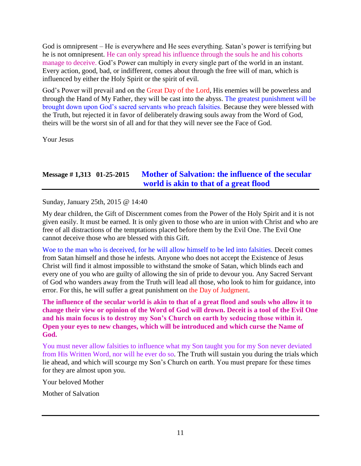God is omnipresent – He is everywhere and He sees everything. Satan's power is terrifying but he is not omnipresent. He can only spread his influence through the souls he and his cohorts manage to deceive. God's Power can multiply in every single part of the world in an instant. Every action, good, bad, or indifferent, comes about through the free will of man, which is influenced by either the Holy Spirit or the spirit of evil.

God's Power will prevail and on the Great Day of the Lord, His enemies will be powerless and through the Hand of My Father, they will be cast into the [abyss.](http://www.thewarningsecondcoming.com/god-is-omnipresent-he-is-everywhere/) The greatest punishment will be brought down upon God's sacred servants who preach falsities. Because they were blessed with the Truth, but rejected it in favor of deliberately drawing souls away from the Word of God, theirs will be the worst sin of all and for that they will never see the Face of God.

Your Jesus

# **Message # 1,313 01-25-2015 [Mother of Salvation: the influence of the secular](http://www.thewarningsecondcoming.com/mother-of-salvation-the-influence-of-the-secular-world-is-akin-to-that-of-a-great-flood/)  [world is akin to that of a great flood](http://www.thewarningsecondcoming.com/mother-of-salvation-the-influence-of-the-secular-world-is-akin-to-that-of-a-great-flood/)**

Sunday, January 25th, 2015 @ 14:40

My dear children, the Gift of [Discernment](http://www.thewarningsecondcoming.com/mother-of-salvation-the-influence-of-the-secular-world-is-akin-to-that-of-a-great-flood/) comes from the Power of the Holy Spirit and it is not given easily. It must be earned. It is only given to those who are in union with Christ and who are free of all distractions of the temptations placed before them by the Evil One. The Evil One cannot deceive those who are blessed with this Gift.

Woe to the man who is deceived, for he will allow himself to be led into falsities. Deceit comes from Satan himself and those he infests. Anyone who does not accept the Existence of [Jesus](http://www.thewarningsecondcoming.com/mother-of-salvation-the-influence-of-the-secular-world-is-akin-to-that-of-a-great-flood/)  [Christ](http://www.thewarningsecondcoming.com/mother-of-salvation-the-influence-of-the-secular-world-is-akin-to-that-of-a-great-flood/) will find it almost impossible to withstand the smoke of Satan, which [blinds](http://www.thewarningsecondcoming.com/mother-of-salvation-the-influence-of-the-secular-world-is-akin-to-that-of-a-great-flood/) each and every one of you who are guilty of allowing the sin of pride to devour you. Any Sacred Servant of God who wanders away from the Truth will lead all those, who look to him for guidance, into [error.](http://www.thewarningsecondcoming.com/mother-of-salvation-the-influence-of-the-secular-world-is-akin-to-that-of-a-great-flood/) For this, he will suffer a great punishment on the Day of Judgment.

**The influence of the secular world is akin to that of a great flood and souls who allow it to change their view or opinion of the Word of God will drown. Deceit is a tool of the Evil One and his main focus is to destroy my Son's Church on earth by seducing those within it. Open your eyes to new changes, which will be introduced and which curse the Name of God.**

You must never allow falsities to influence what my Son taught you for my Son never deviated from His Written Word, nor will he ever do so. The Truth will sustain you during the trials which lie ahead, and which will scourge my Son's Church on earth. You must prepare for these times for they are almost upon you.

Your beloved Mother

Mother of Salvation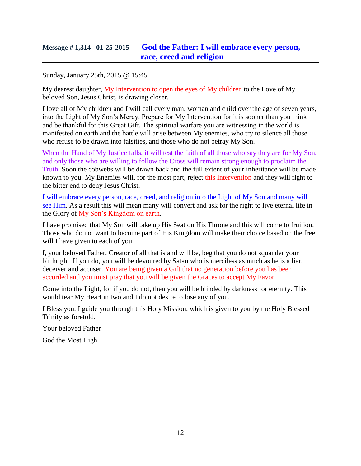# **Message # 1,314 01-25-2015 [God the Father: I will embrace every person,](http://www.thewarningsecondcoming.com/god-the-father-i-will-embrace-every-person-race-creed-and-religion/)  [race, creed and religion](http://www.thewarningsecondcoming.com/god-the-father-i-will-embrace-every-person-race-creed-and-religion/)**

Sunday, January 25th, 2015 @ 15:45

My dearest daughter, My Intervention to open the eyes of My children to the Love of My beloved Son, Jesus Christ, is drawing closer.

I love all of My children and I will call every man, woman and child over the age of seven years, into the Light of My Son's Mercy. Prepare for My Intervention for it is sooner than you think and be thankful for this Great Gift. The spiritual warfare you are witnessing in the world is manifested on earth and the battle will arise between My enemies, who try to silence all those who refuse to be drawn into falsities, and those who do not betray My Son.

When the Hand of My Justice falls, it will test the faith of all those who say they are for My Son, and only those who are willing to follow the Cross will remain strong enough to proclaim the Truth. Soon the cobwebs will be drawn back and the full extent of your inheritance will be made known to you. My Enemies will, for the most part, reject this Intervention and they will fight to the bitter end to deny Jesus Christ.

I will embrace every person, race, creed, and religion into the Light of My Son and many will see Him. As a result this will mean many will convert and ask for the right to live eternal life in the Glory of My Son's Kingdom on earth.

I have promised that My Son will take up His Seat on His Throne and this will come to fruition. Those who do not want to become part of His Kingdom will make their choice based on the free will I have given to each of you.

I, your beloved Father, Creator of all that is and will be, beg that you do not squander your birthright. If you do, you will be devoured by Satan who is merciless as much as he is a liar, deceiver and accuser. You are being given a Gift that no generation before you has been accorded and you must pray that you will be given the Graces to accept My Favor.

Come into the Light, for if you do not, then you will be blinded by darkness for eternity. This would tear My Heart in two and I do not desire to lose any of you.

I Bless you. I guide you through this Holy Mission, which is given to you by the Holy Blessed Trinity as foretold.

Your beloved Father

God the Most High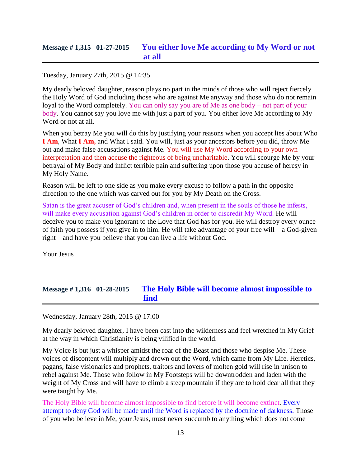Tuesday, January 27th, 2015 @ 14:35

My dearly beloved daughter, reason plays no part in the minds of those who will reject fiercely the Holy Word of God including those who are against Me anyway and those who do not remain loyal to the Word completely. You can only say you are of Me as one body – not part of your body. You cannot say you love me with just a part of you. You either love Me according to My Word or not at all.

When you betray Me you will do this by justifying your reasons when you accept lies about Who **I Am**, What **I Am,** and What I said. You will, just as your ancestors before you did, throw Me out and make false accusations against Me. You will use My Word according to your own interpretation and then accuse the righteous of being uncharitable. You will scourge Me by your betrayal of My Body and inflict terrible pain and suffering upon those you accuse of heresy in My Holy Name.

Reason will be left to one side as you make every excuse to follow a path in the opposite direction to the one which was carved out for you by My Death on the Cross.

Satan is the great accuser of God's children and, when present in the souls of those he infests, will make every accusation against God's children in order to discredit My Word. He will deceive you to make you ignorant to the Love that God has for you. He will destroy every ounce of faith you possess if you give in to him. He will take advantage of your free will – a God-given right – and have you believe that you can live a life without God.

Your Jesus

# **Message # 1,316 01-28-2015 [The Holy Bible will become almost impossible to](http://www.thewarningsecondcoming.com/the-holy-bible-will-become-almost-impossible-to-find/)  [find](http://www.thewarningsecondcoming.com/the-holy-bible-will-become-almost-impossible-to-find/)**

Wednesday, January 28th, 2015 @ 17:00

My dearly beloved daughter, I have been cast into the wilderness and feel wretched in My Grief at the way in which Christianity is being vilified in the world.

My Voice is but just a whisper amidst the roar of the Beast and those who despise Me. These voices of discontent will multiply and drown out the Word, which came from My Life. Heretics, pagans, false visionaries and prophets, traitors and lovers of molten gold will rise in unison to rebel against Me. Those who follow in My Footsteps will be downtrodden and laden with the weight of My Cross and will have to climb a steep mountain if they are to hold dear all that they were taught by Me.

The Holy Bible will become almost impossible to find before it will become extinct. Every attempt to deny God will be made until the Word is replaced by the doctrine of darkness. Those of you who believe in Me, your Jesus, must never succumb to anything which does not come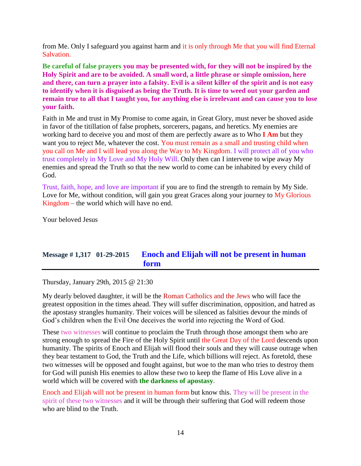from Me. Only I safeguard you against harm and it is only through Me that you will find Eternal Salvation.

**Be careful of false prayers you may be presented with, for they will not be inspired by the Holy Spirit and are to be avoided. A small word, a little phrase or simple omission, here and there, can turn a prayer into a falsity. Evil is a silent killer of the spirit and is not easy to identify when it is disguised as being the Truth. It is time to weed out your garden and remain true to all that I taught you, for anything else is irrelevant and can cause you to lose your faith.**

Faith in Me and trust in My Promise to come again, in Great Glory, must never be shoved aside in favor of the titillation of false prophets, sorcerers, pagans, and heretics. My enemies are working hard to deceive you and most of them are perfectly aware as to Who **I Am** but they want you to reject Me, whatever the cost. You must remain as a small and trusting child when you call on Me and I will lead you along the Way to My Kingdom. I will protect all of you who trust completely in My Love and My Holy Will. Only then can I intervene to wipe away My enemies and spread the Truth so that the new world to come can be inhabited by every child of God.

Trust, faith, hope, and love are important if you are to find the strength to remain by My Side. Love for Me, without condition, will gain you great Graces along your journey to My Glorious Kingdom – the world which will have no end.

Your beloved Jesus

# **Message # 1,317 01-29-2015 [Enoch and Elijah will not be present in human](http://www.thewarningsecondcoming.com/enoch-and-elijah-will-not-be-present-in-human-form/)  [form](http://www.thewarningsecondcoming.com/enoch-and-elijah-will-not-be-present-in-human-form/)**

Thursday, January 29th, 2015 @ 21:30

My dearly beloved daughter, it will be the Roman Catholics and the Jews who will face the greatest opposition in the times ahead. They will suffer discrimination, opposition, and hatred as the apostasy strangles humanity. Their voices will be silenced as falsities devour the minds of God's children when the Evil One deceives the world into rejecting the Word of God.

These two witnesses will continue to proclaim the Truth through those amongst them who are strong enough to spread the Fire of the Holy Spirit until the Great Day of the Lord descends upon humanity. The spirits of Enoch and Elijah will flood their souls and they will cause outrage when they bear testament to God, the Truth and the Life, which billions will reject. As foretold, these two witnesses will be opposed and fought against, but woe to the man who tries to destroy them for God will punish His enemies to allow these two to keep the flame of His Love alive in a world which will be covered with **the darkness of apostasy**.

Enoch and Elijah will not be present in human form but know this. They will be present in the spirit of these two witnesses and it will be through their suffering that God will redeem those who are blind to the Truth.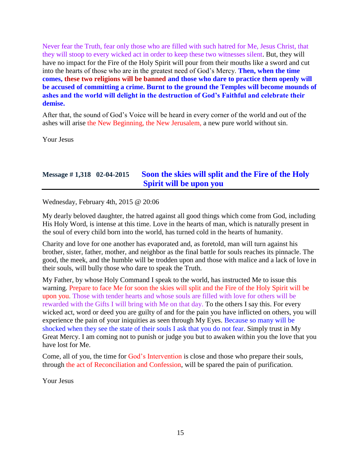Never fear the Truth, fear only those who are filled with such hatred for Me, Jesus Christ, that they will stoop to every wicked act in order to keep these two witnesses silent. But, they will have no impact for the Fire of the Holy Spirit will pour from their mouths like a sword and cut into the hearts of those who are in the greatest need of God's Mercy. **Then, when the time comes, these two religions will be banned and those who dare to practice them openly will be accused of committing a crime. Burnt to the ground the Temples will become mounds of ashes and the world will delight in the destruction of God's Faithful and celebrate their demise.**

After that, the sound of God's Voice will be heard in every corner of the world and out of the ashes will arise the New Beginning, the New Jerusalem, a new pure world without sin.

Your Jesus

# **Message # 1,318 02-04-2015 [Soon the skies will split and the Fire of the Holy](http://www.thewarningsecondcoming.com/soon-the-skies-will-split-and-the-fire-of-the-holy-spirit-will-be-upon-you/)  [Spirit will be upon you](http://www.thewarningsecondcoming.com/soon-the-skies-will-split-and-the-fire-of-the-holy-spirit-will-be-upon-you/)**

Wednesday, February 4th, 2015 @ 20:06

My dearly beloved daughter, the hatred against all good things which come from God, including His Holy Word, is intense at this time. Love in the hearts of man, which is naturally present in the soul of every child born into the world, has turned cold in the hearts of humanity.

Charity and love for one another has evaporated and, as foretold, man will turn against his brother, sister, father, mother, and neighbor as the final battle for souls reaches its pinnacle. The good, the meek, and the humble will be trodden upon and those with malice and a lack of love in their souls, will bully those who dare to speak the Truth.

My Father, by whose Holy Command I speak to the world, has instructed Me to issue this warning. Prepare to face Me for soon the skies will split and the Fire of the Holy Spirit will be upon you. Those with tender hearts and whose souls are filled with love for others will be rewarded with the Gifts I will bring with Me on that day. To the others I say this. For every wicked act, word or deed you are guilty of and for the pain you have inflicted on others, you will experience the pain of your iniquities as seen through My Eyes. Because so many will be shocked when they see the state of their souls I ask that you do not fear. Simply trust in My Great Mercy. I am coming not to punish or judge you but to awaken within you the love that you have lost for Me.

Come, all of you, the time for God's Intervention is close and those who prepare their souls, through the act of Reconciliation and Confession, will be spared the pain of purification.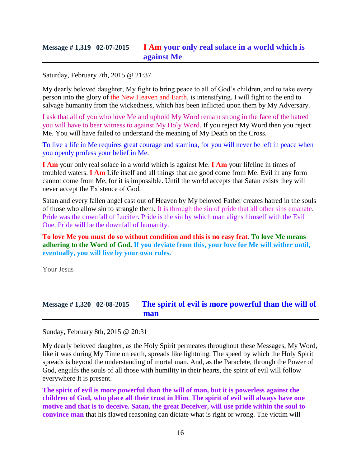### **Message # 1,319 02-07-2015 I Am [your only real solace in a world which is](http://www.thewarningsecondcoming.com/i-am-your-only-real-solace-in-a-world-which-is-against-me/)  [against Me](http://www.thewarningsecondcoming.com/i-am-your-only-real-solace-in-a-world-which-is-against-me/)**

Saturday, February 7th, 2015 @ 21:37

My dearly beloved daughter, My fight to bring peace to all of God's children, and to take every person into the glory of the New Heaven and Earth, is intensifying. I will fight to the end to salvage humanity from the wickedness, which has been inflicted upon them by My Adversary.

I ask that all of you who love Me and uphold My Word remain strong in the face of the hatred you will have to bear witness to against My Holy Word. If you reject My Word then you reject Me. You will have failed to understand the meaning of My Death on the Cross.

To live a life in Me requires great courage and stamina, for you will never be left in peace when you openly profess your belief in Me.

**I Am** your only real solace in a world which is against Me. **I Am** your lifeline in times of troubled waters. **I Am** Life itself and all things that are good come from Me. Evil in any form cannot come from Me, for it is impossible. Until the world accepts that Satan exists they will never accept the Existence of God.

Satan and every fallen angel cast out of Heaven by My beloved Father creates hatred in the souls of those who allow sin to strangle them. It is through the sin of pride that all other sins emanate. Pride was the downfall of Lucifer. Pride is the sin by which man aligns himself with the Evil One. Pride will be the downfall of humanity.

**To love Me you must do so without condition and this is no easy feat. To love Me means adhering to the Word of God. If you deviate from this, your love for Me will wither until, eventually, you will live by your own rules.**

Your Jesus

# **Message # 1,320 02-08-2015 [The spirit of evil is more powerful than the will of](http://www.thewarningsecondcoming.com/the-spirit-of-evil-is-more-powerful-than-the-will-of-man/)  [man](http://www.thewarningsecondcoming.com/the-spirit-of-evil-is-more-powerful-than-the-will-of-man/)**

Sunday, February 8th, 2015 @ 20:31

My dearly beloved daughter, as the Holy Spirit permeates throughout these Messages, My Word, like it was during My Time on earth, spreads like lightning. The speed by which the Holy Spirit spreads is beyond the understanding of mortal man. And, as the Paraclete, through the Power of God, engulfs the souls of all those with humility in their hearts, the spirit of evil will follow everywhere It is present.

**The spirit of evil is more powerful than the will of man, but it is powerless against the children of God, who place all their trust in Him**. **The spirit of evil will always have one motive and that is to deceive. Satan, the great Deceiver, will use pride within the soul to convince man** that his flawed reasoning can dictate what is right or wrong. The victim will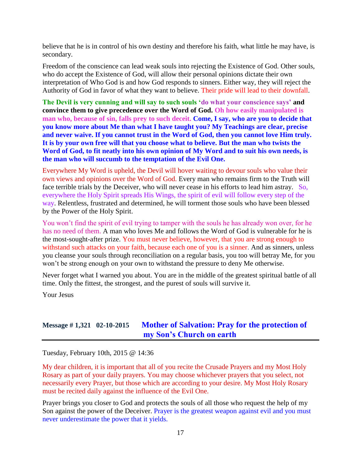believe that he is in control of his own destiny and therefore his faith, what little he may have, is secondary.

Freedom of the conscience can lead weak souls into rejecting the Existence of God. Other souls, who do accept the Existence of God, will allow their personal opinions dictate their own interpretation of Who God is and how God responds to sinners. Either way, they will reject the Authority of God in favor of what they want to believe. Their pride will lead to their downfall.

**The Devil is very cunning and will say to such souls 'do what your conscience says' and convince them to give precedence over the Word of God. Oh how easily manipulated is man who, because of sin, falls prey to such deceit. Come, I say, who are you to decide that you know more about Me than what I have taught you? My Teachings are clear, precise and never waive. If you cannot trust in the Word of God, then you cannot love Him truly. It is by your own free will that you choose what to believe. But the man who twists the Word of God, to fit neatly into his own opinion of My Word and to suit his own needs, is the man who will succumb to the temptation of the Evil One.**

Everywhere My Word is upheld, the Devil will hover waiting to devour souls who value their own views and opinions over the Word of God. Every man who remains firm to the Truth will face terrible trials by the Deceiver, who will never cease in his efforts to lead him astray. So, everywhere the Holy Spirit spreads His Wings, the spirit of evil will follow every step of the way. Relentless, frustrated and determined, he will torment those souls who have been blessed by the Power of the Holy Spirit.

You won't find the spirit of evil trying to tamper with the souls he has already won over, for he has no need of them. A man who loves Me and follows the Word of God is vulnerable for he is the most-sought-after prize. You must never believe, however, that you are strong enough to withstand such attacks on your faith, because each one of you is a sinner. And as sinners, unless you cleanse your souls through reconciliation on a regular basis, you too will betray Me, for you won't be strong enough on your own to withstand the pressure to deny Me otherwise.

Never forget what I warned you about. You are in the middle of the greatest spiritual battle of all time. Only the fittest, the strongest, and the purest of souls will survive it.

Your Jesus

# **Message # 1,321 02-10-2015 [Mother of Salvation: Pray for the protection of](http://www.thewarningsecondcoming.com/mother-of-salvation-pray-for-the-protection-of-my-sons-church-on-earth/)  [my Son's Church on earth](http://www.thewarningsecondcoming.com/mother-of-salvation-pray-for-the-protection-of-my-sons-church-on-earth/)**

Tuesday, February 10th, 2015 @ 14:36

My dear children, it is important that all of you recite the Crusade Prayers and my Most Holy Rosary as part of your daily prayers. You may choose whichever prayers that you select, not necessarily every Prayer, but those which are according to your desire. My Most Holy Rosary must be recited daily against the influence of the Evil One.

Prayer brings you closer to God and protects the souls of all those who request the help of my Son against the power of the Deceiver. Prayer is the greatest weapon against evil and you must never underestimate the power that it yields.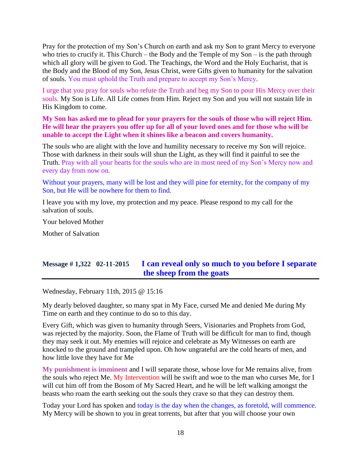Pray for the protection of my Son's Church on earth and ask my Son to grant Mercy to everyone who tries to crucify it. This Church – the Body and the Temple of  $my Son - is$  the path through which all glory will be given to God. The Teachings, the Word and the Holy Eucharist, that is the Body and the Blood of my Son, Jesus Christ, were Gifts given to humanity for the salvation of souls. You must uphold the Truth and prepare to accept my Son's Mercy.

I urge that you pray for souls who refute the Truth and beg my Son to pour His Mercy over their souls. My Son is Life. All Life comes from Him. Reject my Son and you will not sustain life in His Kingdom to come.

**My Son has asked me to plead for your prayers for the souls of those who will reject Him. He will hear the prayers you offer up for all of your loved ones and for those who will be unable to accept the Light when it shines like a beacon and covers humanity.**

The souls who are alight with the love and humility necessary to receive my Son will rejoice. Those with darkness in their souls will shun the Light, as they will find it painful to see the Truth. Pray with all your hearts for the souls who are in most need of my Son's Mercy now and every day from now on.

Without your prayers, many will be lost and they will pine for eternity, for the company of my Son, but He will be nowhere for them to find.

I leave you with my love, my protection and my peace. Please respond to my call for the salvation of souls.

Your beloved Mother

Mother of Salvation

# **Message # 1,322 02-11-2015 [I can reveal only so much to you before I separate](http://www.thewarningsecondcoming.com/i-can-reveal-only-so-much-to-you-before-i-separate-the-sheep-from-the-goats/)  [the sheep from the goats](http://www.thewarningsecondcoming.com/i-can-reveal-only-so-much-to-you-before-i-separate-the-sheep-from-the-goats/)**

Wednesday, February 11th, 2015 @ 15:16

My dearly beloved daughter, so many spat in My Face, cursed Me and denied Me during My Time on earth and they continue to do so to this day.

Every Gift, which was given to humanity through Seers, Visionaries and Prophets from God, was rejected by the majority. Soon, the Flame of Truth will be difficult for man to find, though they may seek it out. My enemies will rejoice and celebrate as My Witnesses on earth are knocked to the ground and trampled upon. Oh how ungrateful are the cold hearts of men, and how little love they have for Me

**My punishment is imminent** and I will separate those, whose love for Me remains alive, from the souls who reject Me. My Intervention will be swift and woe to the man who curses Me, for I will cut him off from the Bosom of My Sacred Heart, and he will be left walking amongst the beasts who roam the earth seeking out the souls they crave so that they can destroy them.

Today your Lord has spoken and today is the day when the changes, as foretold, will commence. My Mercy will be shown to you in great torrents, but after that you will choose your own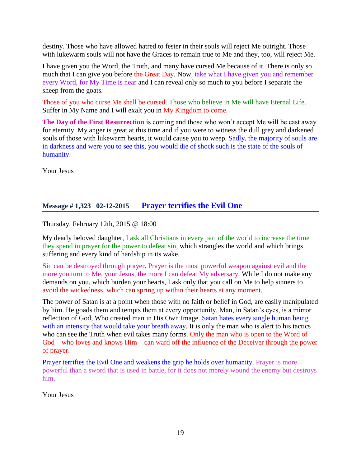destiny. Those who have allowed hatred to fester in their souls will reject Me outright. Those with lukewarm souls will not have the Graces to remain true to Me and they, too, will reject Me.

I have given you the Word, the Truth, and many have cursed Me because of it. There is only so much that I can give you before the Great Day. Now, take what I have given you and remember every Word, for My Time is near and I can reveal only so much to you before I separate the sheep from the goats.

Those of you who curse Me shall be cursed. Those who believe in Me will have Eternal Life. Suffer in My Name and I will exalt you in My Kingdom to come.

**The Day of the First Resurrection** is coming and those who won't accept Me will be cast away for eternity. My anger is great at this time and if you were to witness the dull grey and darkened souls of those with lukewarm hearts, it would cause you to weep. Sadly, the majority of souls are in darkness and were you to see this, you would die of shock such is the state of the souls of humanity.

Your Jesus

# **Message # 1,323 02-12-2015 [Prayer terrifies the Evil One](http://www.thewarningsecondcoming.com/prayer-terrifies-the-evil-one/)**

Thursday, February 12th, 2015 @ 18:00

My dearly beloved daughter, I ask all Christians in every part of the world to increase the time they spend in prayer for the power to defeat sin, which strangles the world and which brings suffering and every kind of hardship in its wake.

Sin can be destroyed through prayer. Prayer is the most powerful weapon against evil and the more you turn to Me, your Jesus, the more I can defeat My adversary. While I do not make any demands on you, which burden your hearts, I ask only that you call on Me to help sinners to avoid the wickedness, which can spring up within their hearts at any moment.

The power of Satan is at a point when those with no faith or belief in God, are easily manipulated by him. He goads them and tempts them at every opportunity. Man, in Satan's eyes, is a mirror reflection of God, Who created man in His Own Image. Satan hates every single human being with an intensity that would take your breath away. It is only the man who is alert to his tactics who can see the Truth when evil takes many forms. Only the man who is open to the Word of God – who loves and knows Him – can ward off the influence of the Deceiver through the power of prayer.

Prayer terrifies the Evil One and weakens the grip he holds over humanity. Prayer is more powerful than a sword that is used in battle, for it does not merely wound the enemy but destroys him.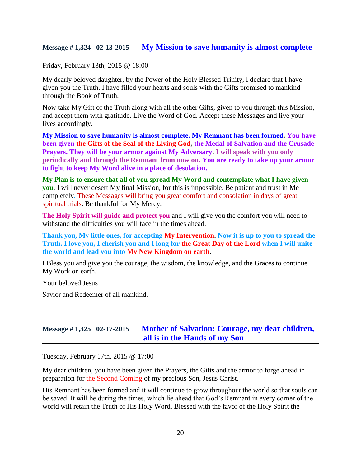### **Message # 1,324 02-13-2015 [My Mission to save humanity is almost complete](http://www.thewarningsecondcoming.com/my-mission-to-save-humanity-is-almost-complete/)**

Friday, February 13th, 2015 @ 18:00

My dearly beloved daughter, by the Power of the Holy Blessed Trinity, I declare that I have given you the Truth. I have filled your hearts and souls with the Gifts promised to mankind through the Book of Truth.

Now take My Gift of the Truth along with all the other Gifts, given to you through this Mission, and accept them with gratitude. Live the Word of God. Accept these Messages and live your lives accordingly.

**My Mission to save humanity is almost complete. My Remnant has been formed. You have been given the Gifts of the Seal of the Living God, the Medal of Salvation and the Crusade Prayers. They will be your armor against My Adversary. I will speak with you only periodically and through the Remnant from now on. You are ready to take up your armor to fight to keep My Word alive in a place of desolation.**

**My Plan is to ensure that all of you spread My Word and contemplate what I have given you**. I will never desert My final Mission, for this is impossible. Be patient and trust in Me completely. These Messages will bring you great comfort and consolation in days of great spiritual trials. Be thankful for My Mercy.

**The Holy Spirit will guide and protect you** and I will give you the comfort you will need to withstand the difficulties you will face in the times ahead.

**Thank you, My little ones, for accepting My Intervention. Now it is up to you to spread the Truth. I love you, I cherish you and I long for the Great Day of the Lord when I will unite the world and lead you into My New Kingdom on earth.**

I Bless you and give you the courage, the wisdom, the knowledge, and the Graces to continue My Work on earth.

Your beloved Jesus

Savior and Redeemer of all mankind.

### **Message # 1,325 02-17-2015 [Mother of Salvation: Courage, my dear children,](http://www.thewarningsecondcoming.com/mother-of-salvation-courage-my-dear-children-all-is-in-the-hands-of-my-son/)  [all is in the Hands of my Son](http://www.thewarningsecondcoming.com/mother-of-salvation-courage-my-dear-children-all-is-in-the-hands-of-my-son/)**

Tuesday, February 17th, 2015 @ 17:00

My dear children, you have been given the Prayers, the Gifts and the armor to forge ahead in preparation for the Second Coming of my precious Son, Jesus Christ.

His Remnant has been formed and it will continue to grow throughout the world so that souls can be saved. It will be during the times, which lie ahead that God's Remnant in every corner of the world will retain the Truth of His Holy Word. Blessed with the favor of the Holy Spirit the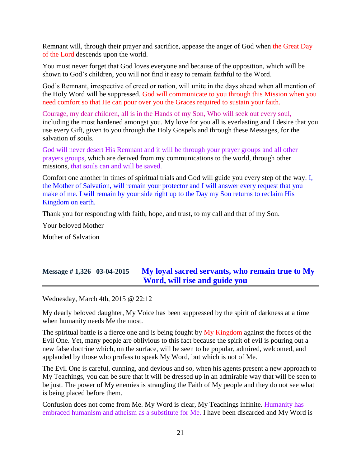Remnant will, through their prayer and sacrifice, appease the anger of God when the Great Day of the Lord descends upon the world.

You must never forget that God loves everyone and because of the opposition, which will be shown to God's children, you will not find it easy to remain faithful to the Word.

God's Remnant, irrespective of creed or nation, will unite in the days ahead when all mention of the Holy Word will be suppressed. God will communicate to you through this Mission when you need comfort so that He can pour over you the Graces required to sustain your faith.

Courage, my dear children, all is in the Hands of my Son, Who will seek out every soul, including the most hardened amongst you. My love for you all is everlasting and I desire that you use every Gift, given to you through the Holy Gospels and through these Messages, for the salvation of souls.

God will never desert His Remnant and it will be through your prayer groups and all other prayers groups, which are derived from my communications to the world, through other missions, that souls can and will be saved.

Comfort one another in times of spiritual trials and God will guide you every step of the way. I, the Mother of Salvation, will remain your protector and I will answer every request that you make of me. I will remain by your side right up to the Day my Son returns to reclaim His Kingdom on earth.

Thank you for responding with faith, hope, and trust, to my call and that of my Son.

Your beloved Mother

Mother of Salvation

# **Message # 1,326 03-04-2015 [My loyal sacred servants, who remain true to My](http://www.thewarningsecondcoming.com/my-loyal-sacred-servants-who-remain-true-to-my-word-will-rise-and-guide-you/)  [Word, will rise and guide you](http://www.thewarningsecondcoming.com/my-loyal-sacred-servants-who-remain-true-to-my-word-will-rise-and-guide-you/)**

Wednesday, March 4th, 2015 @ 22:12

My dearly beloved daughter, My Voice has been suppressed by the spirit of darkness at a time when humanity needs Me the most.

The spiritual battle is a fierce one and is being fought by My Kingdom against the forces of the Evil One. Yet, many people are oblivious to this fact because the spirit of evil is pouring out a new false doctrine which, on the surface, will be seen to be popular, admired, welcomed, and applauded by those who profess to speak My Word, but which is not of Me.

The Evil One is careful, cunning, and devious and so, when his agents present a new approach to My Teachings, you can be sure that it will be dressed up in an admirable way that will be seen to be just. The power of My enemies is strangling the Faith of My people and they do not see what is being placed before them.

Confusion does not come from Me. My Word is clear, My Teachings infinite. Humanity has embraced humanism and atheism as a substitute for Me. I have been discarded and My Word is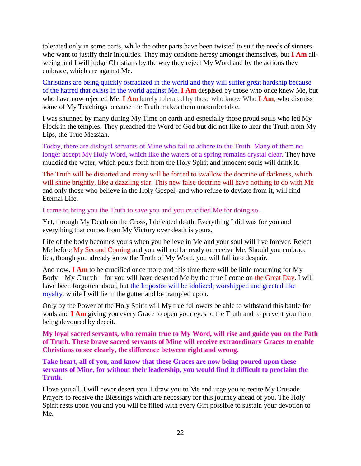tolerated only in some parts, while the other parts have been twisted to suit the needs of sinners who want to justify their iniquities. They may condone heresy amongst themselves, but **I Am** allseeing and I will judge Christians by the way they reject My Word and by the actions they embrace, which are against Me.

Christians are being quickly ostracized in the world and they will suffer great hardship because of the hatred that exists in the world against Me. **I Am** despised by those who once knew Me, but who have now rejected Me. **I Am** barely tolerated by those who know Who **I Am**, who dismiss some of My Teachings because the Truth makes them uncomfortable.

I was shunned by many during My Time on earth and especially those proud souls who led My Flock in the temples. They preached the Word of God but did not like to hear the Truth from My Lips, the True Messiah.

Today, there are disloyal servants of Mine who fail to adhere to the Truth. Many of them no longer accept My Holy Word, which like the waters of a spring remains crystal clear. They have muddied the water, which pours forth from the Holy Spirit and innocent souls will drink it.

The Truth will be distorted and many will be forced to swallow the doctrine of darkness, which will shine brightly, like a dazzling star. This new false doctrine will have nothing to do with Me and only those who believe in the Holy Gospel, and who refuse to deviate from it, will find Eternal Life.

I came to bring you the Truth to save you and you crucified Me for doing so.

Yet, through My Death on the Cross, I defeated death. Everything I did was for you and everything that comes from My Victory over death is yours.

Life of the body becomes yours when you believe in Me and your soul will live forever. Reject Me before My Second Coming and you will not be ready to receive Me. Should you embrace lies, though you already know the Truth of My Word, you will fall into despair.

And now, **I Am** to be crucified once more and this time there will be little mourning for My Body – My Church – for you will have deserted Me by the time I come on the Great Day. I will have been forgotten about, but the Impostor will be idolized; worshipped and greeted like royalty, while I will lie in the gutter and be trampled upon.

Only by the Power of the Holy Spirit will My true followers be able to withstand this battle for souls and **I Am** giving you every Grace to open your eyes to the Truth and to prevent you from being devoured by deceit.

**My loyal sacred servants, who remain true to My Word, will rise and guide you on the Path of Truth. These brave sacred servants of Mine will receive extraordinary Graces to enable Christians to see clearly, the difference between right and wrong.** 

**Take heart, all of you, and know that these Graces are now being poured upon these servants of Mine, for without their leadership, you would find it difficult to proclaim the Truth**.

I love you all. I will never desert you. I draw you to Me and urge you to recite My Crusade Prayers to receive the Blessings which are necessary for this journey ahead of you. The Holy Spirit rests upon you and you will be filled with every Gift possible to sustain your devotion to Me.